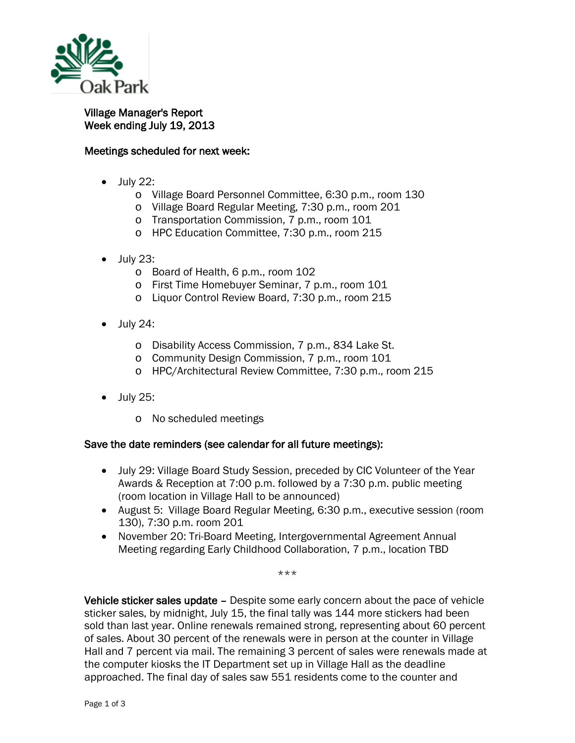

Village Manager's Report Week ending July 19, 2013

## Meetings scheduled for next week:

- July 22:
	- o Village Board Personnel Committee, 6:30 p.m., room 130
	- o Village Board Regular Meeting, 7:30 p.m., room 201
	- o Transportation Commission, 7 p.m., room 101
	- o HPC Education Committee, 7:30 p.m., room 215
- July 23:
	- o Board of Health, 6 p.m., room 102
	- o First Time Homebuyer Seminar, 7 p.m., room 101
	- o Liquor Control Review Board, 7:30 p.m., room 215
- $\bullet$  July 24:
	- o Disability Access Commission, 7 p.m., 834 Lake St.
	- o Community Design Commission, 7 p.m., room 101
	- o HPC/Architectural Review Committee, 7:30 p.m., room 215
- July 25:
	- o No scheduled meetings

## Save the date reminders (see calendar for all future meetings):

- July 29: Village Board Study Session, preceded by CIC Volunteer of the Year Awards & Reception at 7:00 p.m. followed by a 7:30 p.m. public meeting (room location in Village Hall to be announced)
- August 5: Village Board Regular Meeting, 6:30 p.m., executive session (room 130), 7:30 p.m. room 201
- November 20: Tri-Board Meeting, Intergovernmental Agreement Annual Meeting regarding Early Childhood Collaboration, 7 p.m., location TBD

\*\*\*

Vehicle sticker sales update – Despite some early concern about the pace of vehicle sticker sales, by midnight, July 15, the final tally was 144 more stickers had been sold than last year. Online renewals remained strong, representing about 60 percent of sales. About 30 percent of the renewals were in person at the counter in Village Hall and 7 percent via mail. The remaining 3 percent of sales were renewals made at the computer kiosks the IT Department set up in Village Hall as the deadline approached. The final day of sales saw 551 residents come to the counter and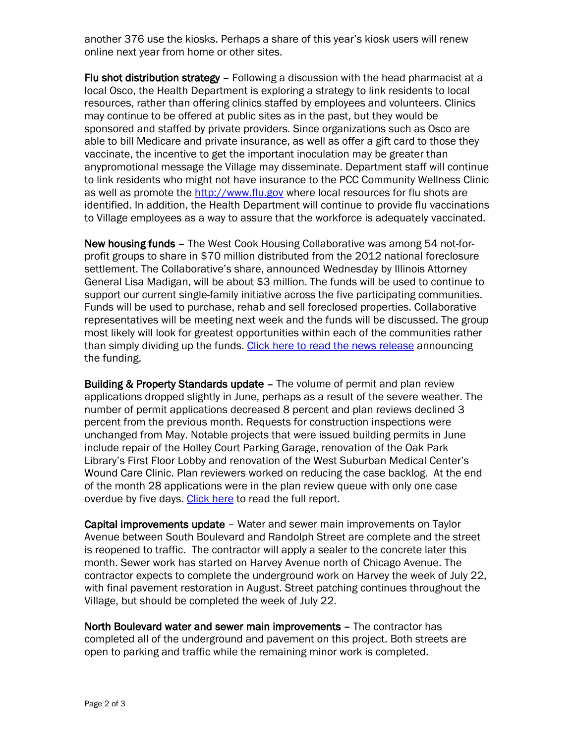another 376 use the kiosks. Perhaps a share of this year's kiosk users will renew online next year from home or other sites.

Flu shot distribution strategy - Following a discussion with the head pharmacist at a local Osco, the Health Department is exploring a strategy to link residents to local resources, rather than offering clinics staffed by employees and volunteers. Clinics may continue to be offered at public sites as in the past, but they would be sponsored and staffed by private providers. Since organizations such as Osco are able to bill Medicare and private insurance, as well as offer a gift card to those they vaccinate, the incentive to get the important inoculation may be greater than anypromotional message the Village may disseminate. Department staff will continue to link residents who might not have insurance to the PCC Community Wellness Clinic as well as promote the [http://www.flu.gov](http://www.flu.gov/) where local resources for flu shots are identified. In addition, the Health Department will continue to provide flu vaccinations to Village employees as a way to assure that the workforce is adequately vaccinated.

New housing funds – The West Cook Housing Collaborative was among 54 not-forprofit groups to share in \$70 million distributed from the 2012 national foreclosure settlement. The Collaborative's share, announced Wednesday by Illinois Attorney General Lisa Madigan, will be about \$3 million. The funds will be used to continue to support our current single-family initiative across the five participating communities. Funds will be used to purchase, rehab and sell foreclosed properties. Collaborative representatives will be meeting next week and the funds will be discussed. The group most likely will look for greatest opportunities within each of the communities rather than simply dividing up the funds. [Click here to read the news release](http://illinoisattorneygeneral.gov/pressroom/2013_07/20130717.html) announcing the funding.

Building & Property Standards update – The volume of permit and plan review applications dropped slightly in June, perhaps as a result of the severe weather. The number of permit applications decreased 8 percent and plan reviews declined 3 percent from the previous month. Requests for construction inspections were unchanged from May. Notable projects that were issued building permits in June include repair of the Holley Court Parking Garage, renovation of the Oak Park Library's First Floor Lobby and renovation of the West Suburban Medical Center's Wound Care Clinic. Plan reviewers worked on reducing the case backlog. At the end of the month 28 applications were in the plan review queue with only one case overdue by five days. [Click here](http://www.oak-park.us/sites/default/files/456678891/2003-june-building-monthly-report.pdf) to read the full report.

Capital improvements update – Water and sewer main improvements on Taylor Avenue between South Boulevard and Randolph Street are complete and the street is reopened to traffic. The contractor will apply a sealer to the concrete later this month. Sewer work has started on Harvey Avenue north of Chicago Avenue. The contractor expects to complete the underground work on Harvey the week of July 22, with final pavement restoration in August. Street patching continues throughout the Village, but should be completed the week of July 22.

North Boulevard water and sewer main improvements – The contractor has completed all of the underground and pavement on this project. Both streets are open to parking and traffic while the remaining minor work is completed.